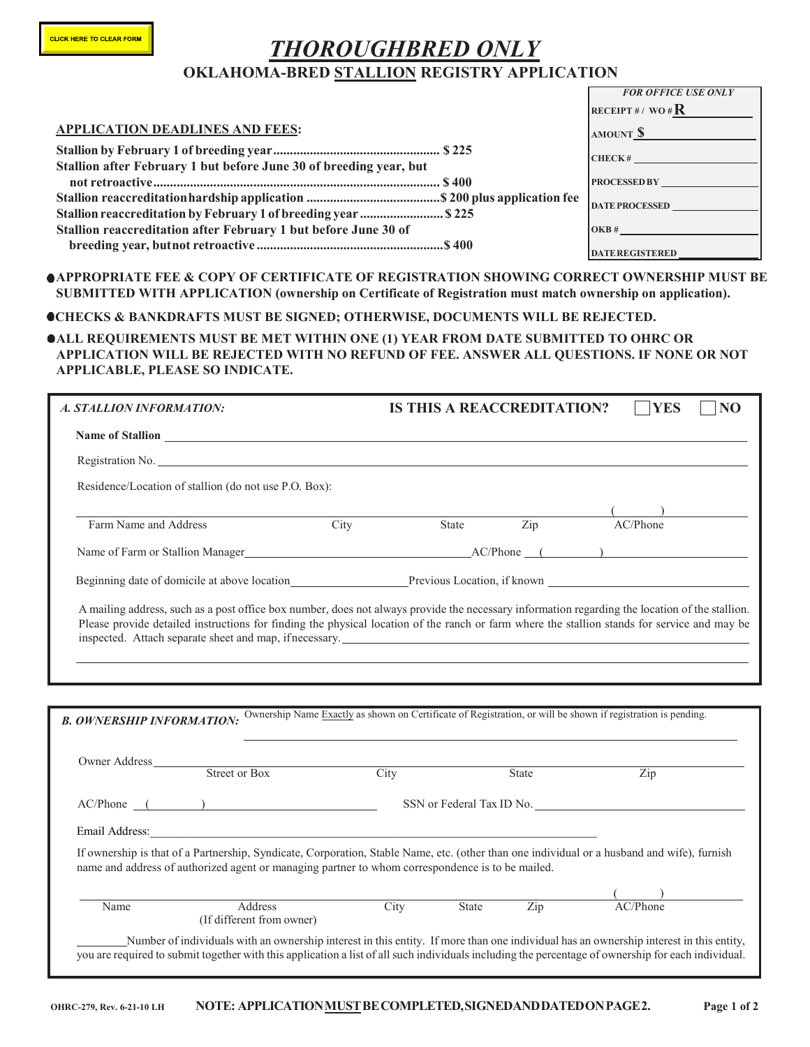# *THOROUGHBRED ONLY* **OKLAHOMA-BRED STALLION REGISTRY APPLICATION**

|                                                                    | <b>FOR OFFICE USE ONLY</b> |  |
|--------------------------------------------------------------------|----------------------------|--|
|                                                                    | RECEIPT#/WO# $\mathbf R$   |  |
| <b>APPLICATION DEADLINES AND FEES:</b>                             | AMOUNT S                   |  |
|                                                                    | CHECK#                     |  |
| Stallion after February 1 but before June 30 of breeding year, but |                            |  |
|                                                                    | <b>PROCESSED BY</b>        |  |
|                                                                    | <b>DATE PROCESSED</b>      |  |
| Stallion reaccreditation by February 1 of breeding year  \$225     |                            |  |
| Stallion reaccreditation after February 1 but before June 30 of    | OKB#                       |  |
|                                                                    | <b>DATEREGISTERED</b>      |  |

**APPROPRIATE FEE & COPY OF CERTIFICATE OF REGISTRATION SHOWING CORRECT OWNERSHIP MUST BE SUBMITTED WITH APPLICATION (ownership on Certificate of Registration must match ownership on application).**

#### **CHECKS & BANKDRAFTS MUST BE SIGNED; OTHERWISE, DOCUMENTS WILL BE REJECTED.**

#### **ALL REQUIREMENTS MUST BE MET WITHIN ONE (1) YEAR FROM DATE SUBMITTED TO OHRC OR APPLICATION WILL BE REJECTED WITH NO REFUND OF FEE. ANSWER ALL QUESTIONS. IF NONE OR NOT APPLICABLE, PLEASE SO INDICATE.**

| <b>A. STALLION INFORMATION:</b>                                                                                                                                                                                                                                                                |                                                                                                              | <b>IS THIS A REACCREDITATION?</b> | <b>YES</b><br>NO |  |  |  |  |  |
|------------------------------------------------------------------------------------------------------------------------------------------------------------------------------------------------------------------------------------------------------------------------------------------------|--------------------------------------------------------------------------------------------------------------|-----------------------------------|------------------|--|--|--|--|--|
| Name of Stallion                                                                                                                                                                                                                                                                               |                                                                                                              |                                   |                  |  |  |  |  |  |
| Registration No. No. 2008 and 2008 and 2008 and 2008 and 2008 and 2008 and 2008 and 2008 and 2008 and 2008 and 2008 and 2008 and 2008 and 2008 and 2008 and 2008 and 2008 and 2008 and 2008 and 2008 and 2008 and 2008 and 200                                                                 |                                                                                                              |                                   |                  |  |  |  |  |  |
| Residence/Location of stallion (do not use P.O. Box):                                                                                                                                                                                                                                          |                                                                                                              |                                   |                  |  |  |  |  |  |
| Farm Name and Address                                                                                                                                                                                                                                                                          | City<br>State                                                                                                | $\overline{Zip}$                  | AC/Phone         |  |  |  |  |  |
|                                                                                                                                                                                                                                                                                                |                                                                                                              |                                   |                  |  |  |  |  |  |
|                                                                                                                                                                                                                                                                                                |                                                                                                              |                                   |                  |  |  |  |  |  |
| A mailing address, such as a post office box number, does not always provide the necessary information regarding the location of the stallion.<br>Please provide detailed instructions for finding the physical location of the ranch or farm where the stallion stands for service and may be |                                                                                                              |                                   |                  |  |  |  |  |  |
|                                                                                                                                                                                                                                                                                                |                                                                                                              |                                   |                  |  |  |  |  |  |
|                                                                                                                                                                                                                                                                                                |                                                                                                              |                                   |                  |  |  |  |  |  |
| <b>B. OWNERSHIP INFORMATION:</b>                                                                                                                                                                                                                                                               | Ownership Name Exactly as shown on Certificate of Registration, or will be shown if registration is pending. |                                   |                  |  |  |  |  |  |
| Owner Address Street or Box City                                                                                                                                                                                                                                                               |                                                                                                              | State                             | Zip              |  |  |  |  |  |
| AC/Phone                                                                                                                                                                                                                                                                                       | SSN or Federal Tax ID No.                                                                                    |                                   |                  |  |  |  |  |  |

Email Address:

If ownership is that of a Partnership, Syndicate, Corporation, Stable Name, etc. (other than one individual or a husband and wife), furnish name and address of authorized agent or managing partner to whom correspondence is to be mailed.

| Name | 2320a<br>LS.<br>Œ€<br>ditterent<br>t from owner) | ັບ | State | $\overline{\phantom{a}}$<br>$\angle$ 1 <sup>p</sup> | 'hone |  |
|------|--------------------------------------------------|----|-------|-----------------------------------------------------|-------|--|

Number of individuals with an ownership interest in this entity. If more than one individual has an ownership interest in this entity, you are required to submit together with this application a list of all such individuals including the percentage of ownership for each individual.